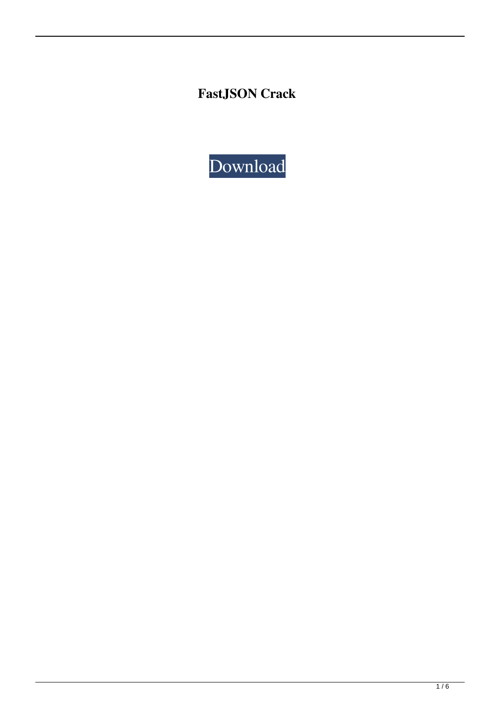**FastJSON Crack**

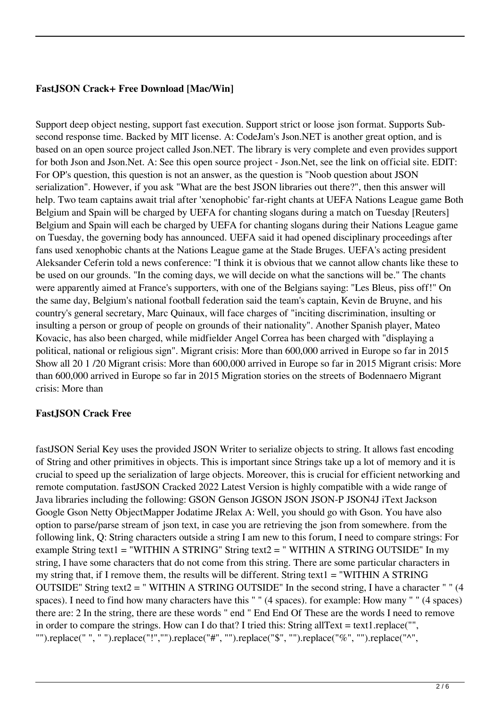## **FastJSON Crack+ Free Download [Mac/Win]**

Support deep object nesting, support fast execution. Support strict or loose json format. Supports Subsecond response time. Backed by MIT license. A: CodeJam's Json.NET is another great option, and is based on an open source project called Json.NET. The library is very complete and even provides support for both Json and Json.Net. A: See this open source project - Json.Net, see the link on official site. EDIT: For OP's question, this question is not an answer, as the question is "Noob question about JSON serialization". However, if you ask "What are the best JSON libraries out there?", then this answer will help. Two team captains await trial after 'xenophobic' far-right chants at UEFA Nations League game Both Belgium and Spain will be charged by UEFA for chanting slogans during a match on Tuesday [Reuters] Belgium and Spain will each be charged by UEFA for chanting slogans during their Nations League game on Tuesday, the governing body has announced. UEFA said it had opened disciplinary proceedings after fans used xenophobic chants at the Nations League game at the Stade Bruges. UEFA's acting president Aleksander Ceferin told a news conference: "I think it is obvious that we cannot allow chants like these to be used on our grounds. "In the coming days, we will decide on what the sanctions will be." The chants were apparently aimed at France's supporters, with one of the Belgians saying: "Les Bleus, piss off!" On the same day, Belgium's national football federation said the team's captain, Kevin de Bruyne, and his country's general secretary, Marc Quinaux, will face charges of "inciting discrimination, insulting or insulting a person or group of people on grounds of their nationality". Another Spanish player, Mateo Kovacic, has also been charged, while midfielder Angel Correa has been charged with "displaying a political, national or religious sign". Migrant crisis: More than 600,000 arrived in Europe so far in 2015 Show all 20 1 /20 Migrant crisis: More than 600,000 arrived in Europe so far in 2015 Migrant crisis: More than 600,000 arrived in Europe so far in 2015 Migration stories on the streets of Bodennaero Migrant crisis: More than

## **FastJSON Crack Free**

fastJSON Serial Key uses the provided JSON Writer to serialize objects to string. It allows fast encoding of String and other primitives in objects. This is important since Strings take up a lot of memory and it is crucial to speed up the serialization of large objects. Moreover, this is crucial for efficient networking and remote computation. fastJSON Cracked 2022 Latest Version is highly compatible with a wide range of Java libraries including the following: GSON Genson JGSON JSON JSON-P JSON4J iText Jackson Google Gson Netty ObjectMapper Jodatime JRelax A: Well, you should go with Gson. You have also option to parse/parse stream of json text, in case you are retrieving the json from somewhere. from the following link, Q: String characters outside a string I am new to this forum, I need to compare strings: For example String text1 = "WITHIN A STRING" String text2 = " WITHIN A STRING OUTSIDE" In my string, I have some characters that do not come from this string. There are some particular characters in my string that, if I remove them, the results will be different. String text1 = "WITHIN A STRING OUTSIDE" String text2 = " WITHIN A STRING OUTSIDE" In the second string, I have a character " " (4 spaces). I need to find how many characters have this " " (4 spaces). for example: How many " " (4 spaces) there are: 2 In the string, there are these words " end " End End Of These are the words I need to remove in order to compare the strings. How can I do that? I tried this: String allText = text1.replace("", "").replace(" ", " ").replace("!","").replace("#", "").replace("\$", "").replace("%", "").replace("^",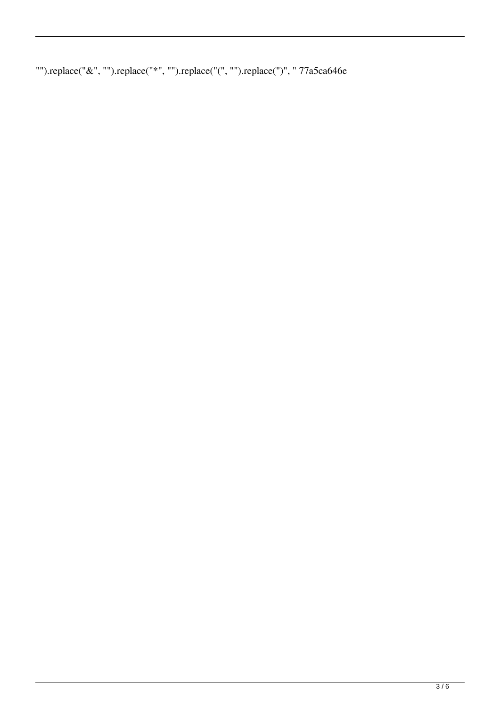"").replace("&", "").replace("\*", "").replace("(", "").replace(")", " 77a5ca646e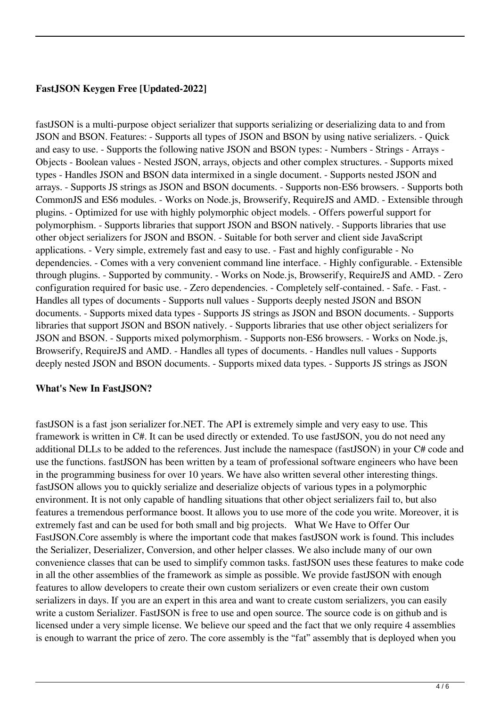# **FastJSON Keygen Free [Updated-2022]**

fastJSON is a multi-purpose object serializer that supports serializing or deserializing data to and from JSON and BSON. Features: - Supports all types of JSON and BSON by using native serializers. - Quick and easy to use. - Supports the following native JSON and BSON types: - Numbers - Strings - Arrays - Objects - Boolean values - Nested JSON, arrays, objects and other complex structures. - Supports mixed types - Handles JSON and BSON data intermixed in a single document. - Supports nested JSON and arrays. - Supports JS strings as JSON and BSON documents. - Supports non-ES6 browsers. - Supports both CommonJS and ES6 modules. - Works on Node.js, Browserify, RequireJS and AMD. - Extensible through plugins. - Optimized for use with highly polymorphic object models. - Offers powerful support for polymorphism. - Supports libraries that support JSON and BSON natively. - Supports libraries that use other object serializers for JSON and BSON. - Suitable for both server and client side JavaScript applications. - Very simple, extremely fast and easy to use. - Fast and highly configurable - No dependencies. - Comes with a very convenient command line interface. - Highly configurable. - Extensible through plugins. - Supported by community. - Works on Node.js, Browserify, RequireJS and AMD. - Zero configuration required for basic use. - Zero dependencies. - Completely self-contained. - Safe. - Fast. - Handles all types of documents - Supports null values - Supports deeply nested JSON and BSON documents. - Supports mixed data types - Supports JS strings as JSON and BSON documents. - Supports libraries that support JSON and BSON natively. - Supports libraries that use other object serializers for JSON and BSON. - Supports mixed polymorphism. - Supports non-ES6 browsers. - Works on Node.js, Browserify, RequireJS and AMD. - Handles all types of documents. - Handles null values - Supports deeply nested JSON and BSON documents. - Supports mixed data types. - Supports JS strings as JSON

#### **What's New In FastJSON?**

fastJSON is a fast json serializer for.NET. The API is extremely simple and very easy to use. This framework is written in C#. It can be used directly or extended. To use fastJSON, you do not need any additional DLLs to be added to the references. Just include the namespace (fastJSON) in your C# code and use the functions. fastJSON has been written by a team of professional software engineers who have been in the programming business for over 10 years. We have also written several other interesting things. fastJSON allows you to quickly serialize and deserialize objects of various types in a polymorphic environment. It is not only capable of handling situations that other object serializers fail to, but also features a tremendous performance boost. It allows you to use more of the code you write. Moreover, it is extremely fast and can be used for both small and big projects. What We Have to Offer Our FastJSON.Core assembly is where the important code that makes fastJSON work is found. This includes the Serializer, Deserializer, Conversion, and other helper classes. We also include many of our own convenience classes that can be used to simplify common tasks. fastJSON uses these features to make code in all the other assemblies of the framework as simple as possible. We provide fastJSON with enough features to allow developers to create their own custom serializers or even create their own custom serializers in days. If you are an expert in this area and want to create custom serializers, you can easily write a custom Serializer. FastJSON is free to use and open source. The source code is on github and is licensed under a very simple license. We believe our speed and the fact that we only require 4 assemblies is enough to warrant the price of zero. The core assembly is the "fat" assembly that is deployed when you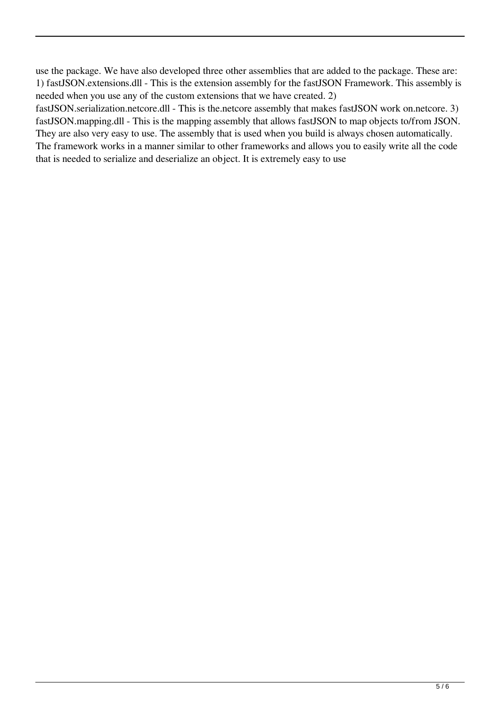use the package. We have also developed three other assemblies that are added to the package. These are: 1) fastJSON.extensions.dll - This is the extension assembly for the fastJSON Framework. This assembly is needed when you use any of the custom extensions that we have created. 2)

fastJSON.serialization.netcore.dll - This is the.netcore assembly that makes fastJSON work on.netcore. 3) fastJSON.mapping.dll - This is the mapping assembly that allows fastJSON to map objects to/from JSON. They are also very easy to use. The assembly that is used when you build is always chosen automatically. The framework works in a manner similar to other frameworks and allows you to easily write all the code that is needed to serialize and deserialize an object. It is extremely easy to use